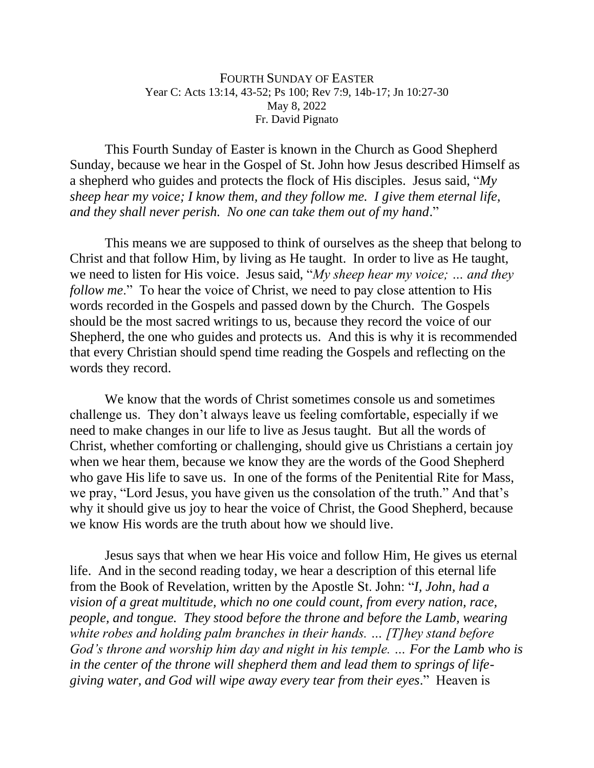## FOURTH SUNDAY OF EASTER Year C: Acts 13:14, 43-52; Ps 100; Rev 7:9, 14b-17; Jn 10:27-30 May 8, 2022 Fr. David Pignato

This Fourth Sunday of Easter is known in the Church as Good Shepherd Sunday, because we hear in the Gospel of St. John how Jesus described Himself as a shepherd who guides and protects the flock of His disciples. Jesus said, "*My sheep hear my voice; I know them, and they follow me. I give them eternal life, and they shall never perish. No one can take them out of my hand*."

This means we are supposed to think of ourselves as the sheep that belong to Christ and that follow Him, by living as He taught. In order to live as He taught, we need to listen for His voice. Jesus said, "*My sheep hear my voice; … and they follow me.*" To hear the voice of Christ, we need to pay close attention to His words recorded in the Gospels and passed down by the Church. The Gospels should be the most sacred writings to us, because they record the voice of our Shepherd, the one who guides and protects us. And this is why it is recommended that every Christian should spend time reading the Gospels and reflecting on the words they record.

We know that the words of Christ sometimes console us and sometimes challenge us. They don't always leave us feeling comfortable, especially if we need to make changes in our life to live as Jesus taught. But all the words of Christ, whether comforting or challenging, should give us Christians a certain joy when we hear them, because we know they are the words of the Good Shepherd who gave His life to save us. In one of the forms of the Penitential Rite for Mass, we pray, "Lord Jesus, you have given us the consolation of the truth." And that's why it should give us joy to hear the voice of Christ, the Good Shepherd, because we know His words are the truth about how we should live.

Jesus says that when we hear His voice and follow Him, He gives us eternal life. And in the second reading today, we hear a description of this eternal life from the Book of Revelation, written by the Apostle St. John: "*I, John, had a vision of a great multitude, which no one could count, from every nation, race, people, and tongue. They stood before the throne and before the Lamb, wearing white robes and holding palm branches in their hands. … [T]hey stand before God's throne and worship him day and night in his temple. … For the Lamb who is in the center of the throne will shepherd them and lead them to springs of lifegiving water, and God will wipe away every tear from their eyes*." Heaven is